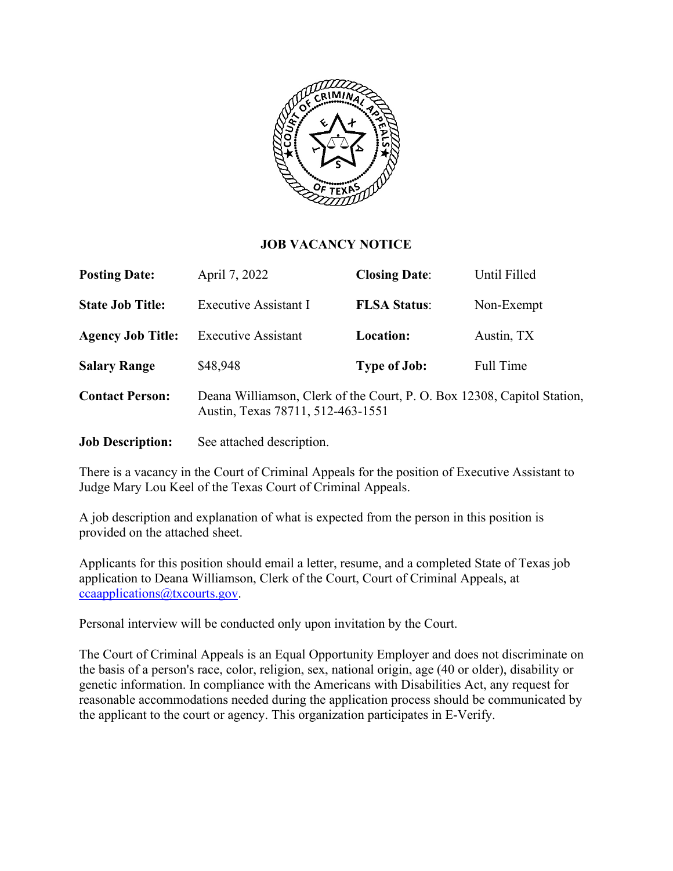

## **JOB VACANCY NOTICE**

| <b>Posting Date:</b>     | April 7, 2022                                                                                                | <b>Closing Date:</b> | Until Filled     |
|--------------------------|--------------------------------------------------------------------------------------------------------------|----------------------|------------------|
| <b>State Job Title:</b>  | Executive Assistant I                                                                                        | <b>FLSA Status:</b>  | Non-Exempt       |
| <b>Agency Job Title:</b> | <b>Executive Assistant</b>                                                                                   | <b>Location:</b>     | Austin, TX       |
| <b>Salary Range</b>      | \$48,948                                                                                                     | <b>Type of Job:</b>  | <b>Full Time</b> |
| <b>Contact Person:</b>   | Deana Williamson, Clerk of the Court, P. O. Box 12308, Capitol Station,<br>Austin, Texas 78711, 512-463-1551 |                      |                  |

**Job Description:** See attached description.

There is a vacancy in the Court of Criminal Appeals for the position of Executive Assistant to Judge Mary Lou Keel of the Texas Court of Criminal Appeals.

A job description and explanation of what is expected from the person in this position is provided on the attached sheet.

Applicants for this position should email a letter, resume, and a completed State of Texas job application to Deana Williamson, Clerk of the Court, Court of Criminal Appeals, at [ccaapplications@txcourts.gov.](mailto:ccaapplications@txcourts.gov)

Personal interview will be conducted only upon invitation by the Court.

The Court of Criminal Appeals is an Equal Opportunity Employer and does not discriminate on the basis of a person's race, color, religion, sex, national origin, age (40 or older), disability or genetic information. In compliance with the Americans with Disabilities Act, any request for reasonable accommodations needed during the application process should be communicated by the applicant to the court or agency. This organization participates in E-Verify.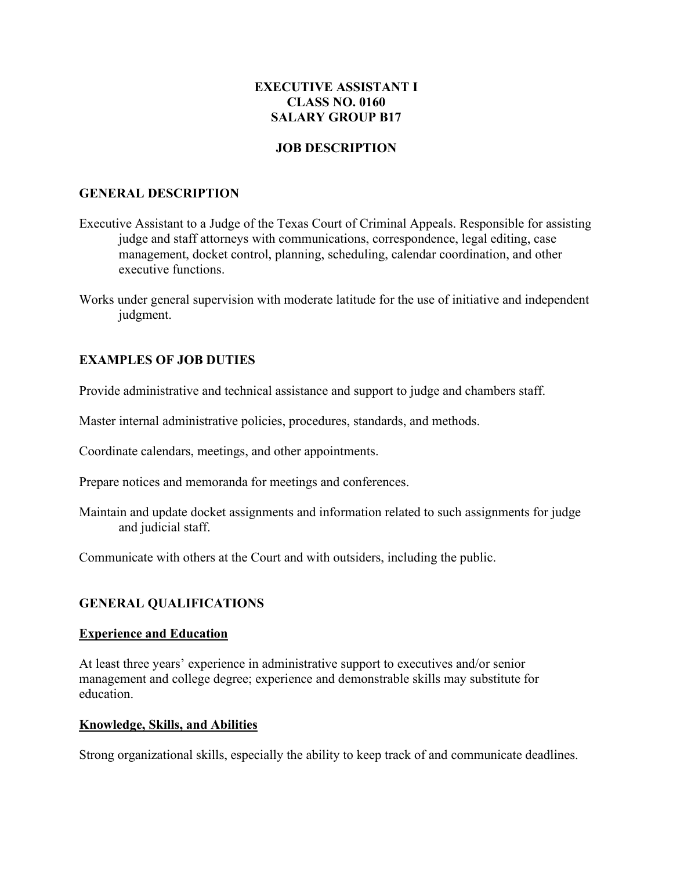# **EXECUTIVE ASSISTANT I CLASS NO. 0160 SALARY GROUP B17**

#### **JOB DESCRIPTION**

## **GENERAL DESCRIPTION**

- Executive Assistant to a Judge of the Texas Court of Criminal Appeals. Responsible for assisting judge and staff attorneys with communications, correspondence, legal editing, case management, docket control, planning, scheduling, calendar coordination, and other executive functions.
- Works under general supervision with moderate latitude for the use of initiative and independent judgment.

## **EXAMPLES OF JOB DUTIES**

Provide administrative and technical assistance and support to judge and chambers staff.

Master internal administrative policies, procedures, standards, and methods.

Coordinate calendars, meetings, and other appointments.

Prepare notices and memoranda for meetings and conferences.

Maintain and update docket assignments and information related to such assignments for judge and judicial staff.

Communicate with others at the Court and with outsiders, including the public.

#### **GENERAL QUALIFICATIONS**

#### **Experience and Education**

At least three years' experience in administrative support to executives and/or senior management and college degree; experience and demonstrable skills may substitute for education.

#### **Knowledge, Skills, and Abilities**

Strong organizational skills, especially the ability to keep track of and communicate deadlines.